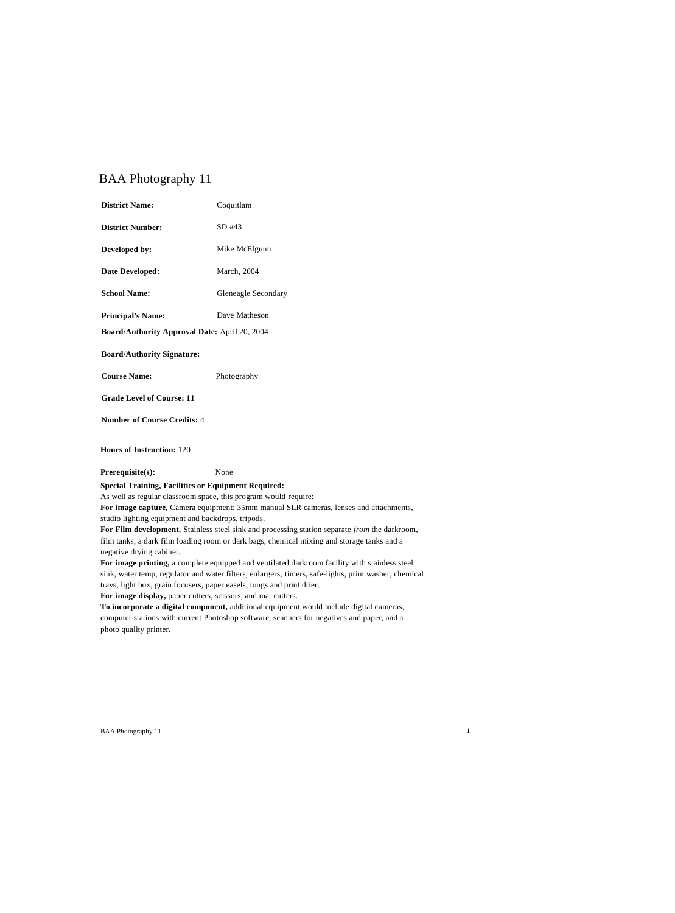# BAA Photography 11

| <b>District Name:</b>                                           | Coquitlam           |
|-----------------------------------------------------------------|---------------------|
| <b>District Number:</b>                                         | SD #43              |
| Developed by:                                                   | Mike McElgunn       |
| Date Developed:                                                 | March, 2004         |
| <b>School Name:</b>                                             | Gleneagle Secondary |
| <b>Principal's Name:</b>                                        | Dave Matheson       |
| <b>Board/Authority Approval Date: April 20, 2004</b>            |                     |
| <b>Board/Authority Signature:</b>                               |                     |
| <b>Course Name:</b>                                             | Photography         |
| <b>Grade Level of Course: 11</b>                                |                     |
| <b>Number of Course Credits: 4</b>                              |                     |
| <b>Hours of Instruction: 120</b>                                |                     |
| Prerequisite(s):                                                | None                |
| <b>Special Training, Facilities or Equipment Required:</b>      |                     |
| As well as regular classroom space, this program would require: |                     |

**For image capture,** Camera equipment; 35mm manual SLR cameras, lenses and attachments, studio lighting equipment and backdrops, tripods.

**For Film development,** Stainless steel sink and processing station separate *from* the darkroom, film tanks, a dark film loading room or dark bags, chemical mixing and storage tanks and a negative drying cabinet.

**For image printing,** a complete equipped and ventilated darkroom facility with stainless steel sink, water temp, regulator and water filters, enlargers, timers, safe-lights, print washer, chemical trays, light box, grain focusers, paper easels, tongs and print drier.

**For image display,** paper cutters, scissors, and mat cutters.

**To incorporate a digital component,** additional equipment would include digital cameras, computer stations with current Photoshop software, scanners for negatives and paper, and a photo quality printer.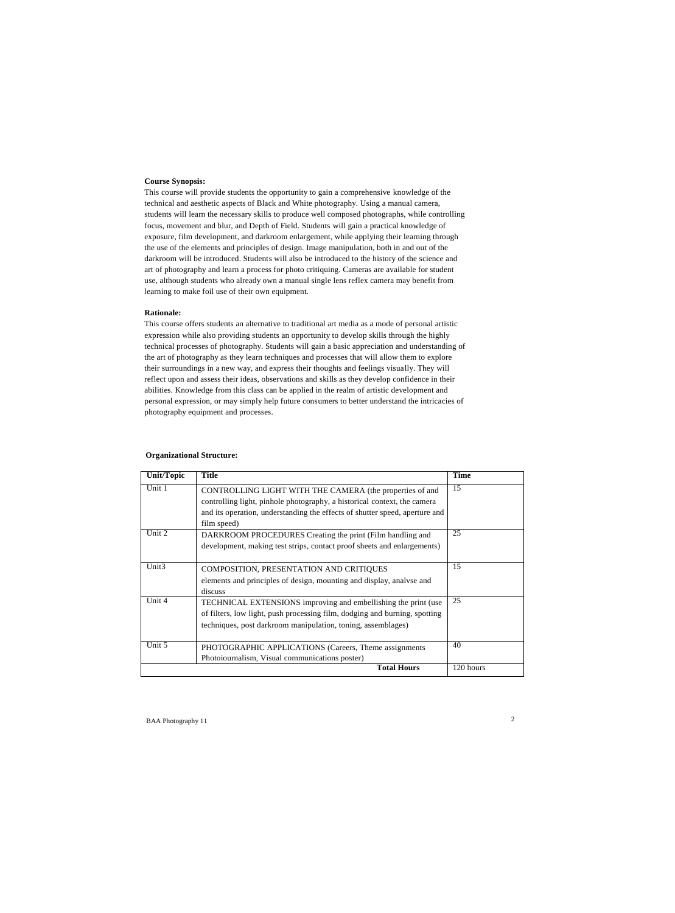# **Course Synopsis:**

This course will provide students the opportunity to gain a comprehensive knowledge of the technical and aesthetic aspects of Black and White photography. Using a manual camera, students will learn the necessary skills to produce well composed photographs, while controlling focus, movement and blur, and Depth of Field. Students will gain a practical knowledge of exposure, film development, and darkroom enlargement, while applying their learning through the use of the elements and principles of design. Image manipulation, both in and out of the darkroom will be introduced. Students will also be introduced to the history of the science and art of photography and learn a process for photo critiquing. Cameras are available for student use, although students who already own a manual single lens reflex camera may benefit from learning to make foil use of their own equipment.

#### **Rationale:**

This course offers students an alternative to traditional art media as a mode of personal artistic expression while also providing students an opportunity to develop skills through the highly technical processes of photography. Students will gain a basic appreciation and understanding of the art of photography as they learn techniques and processes that will allow them to explore their surroundings in a new way, and express their thoughts and feelings visually. They will reflect upon and assess their ideas, observations and skills as they develop confidence in their abilities. Knowledge from this class can be applied in the realm of artistic development and personal expression, or may simply help future consumers to better understand the intricacies of photography equipment and processes.

| <b>Unit/Topic</b> | <b>Title</b>                                                                | <b>Time</b> |
|-------------------|-----------------------------------------------------------------------------|-------------|
| Unit 1            | CONTROLLING LIGHT WITH THE CAMERA (the properties of and                    | 15          |
|                   | controlling light, pinhole photography, a historical context, the camera    |             |
|                   | and its operation, understanding the effects of shutter speed, aperture and |             |
|                   | film speed)                                                                 |             |
| Unit 2            | DARKROOM PROCEDURES Creating the print (Film handling and                   | 25          |
|                   | development, making test strips, contact proof sheets and enlargements)     |             |
|                   |                                                                             |             |
| Unit <sub>3</sub> | COMPOSITION, PRESENTATION AND CRITIQUES                                     | 15          |
|                   | elements and principles of design, mounting and display, analyse and        |             |
|                   | discuss                                                                     |             |
| Unit 4            | TECHNICAL EXTENSIONS improving and embellishing the print (use              | 25          |
|                   | of filters, low light, push processing film, dodging and burning, spotting  |             |
|                   | techniques, post darkroom manipulation, toning, assemblages)                |             |
|                   |                                                                             |             |
| Unit 5            | PHOTOGRAPHIC APPLICATIONS (Careers, Theme assignments                       | 40          |
|                   | Photoiournalism, Visual communications poster)                              |             |
|                   | <b>Total Hours</b>                                                          | 120 hours   |

#### **Organizational Structure:**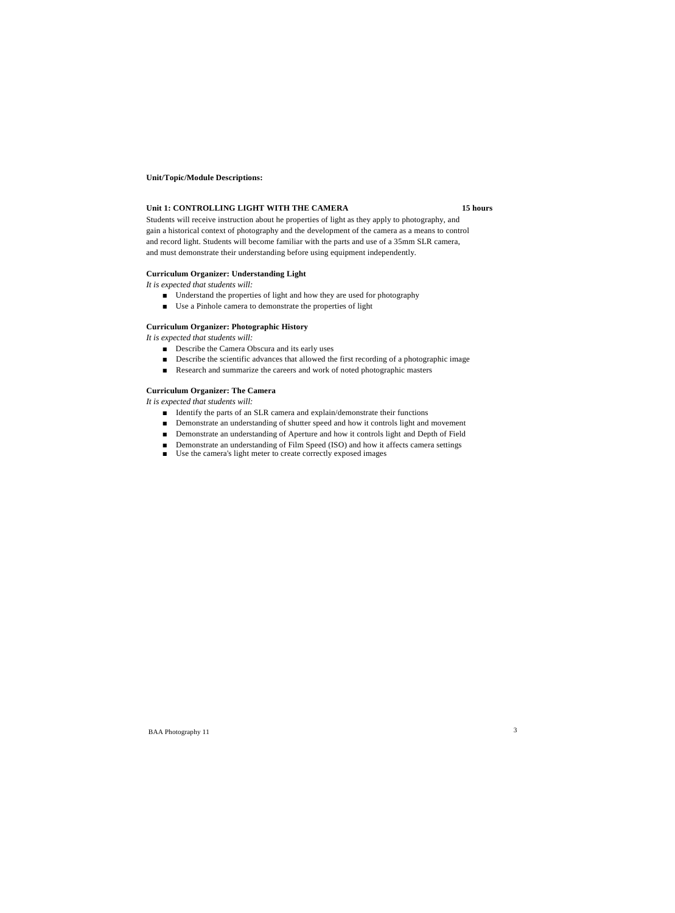#### **Unit/Topic/Module Descriptions:**

# **Unit 1: CONTROLLING LIGHT WITH THE CAMERA 15 hours**

Students will receive instruction about he properties of light as they apply to photography, and gain a historical context of photography and the development of the camera as a means to control and record light. Students will become familiar with the parts and use of a 35mm SLR camera, and must demonstrate their understanding before using equipment independently.

# **Curriculum Organizer: Understanding Light**

*It is expected that students will:*

- Understand the properties of light and how they are used for photography
- Use a Pinhole camera to demonstrate the properties of light

#### **Curriculum Organizer: Photographic History**

*It is expected that students will:*

- Describe the Camera Obscura and its early uses
- Describe the scientific advances that allowed the first recording of a photographic image
- Research and summarize the careers and work of noted photographic masters

# **Curriculum Organizer: The Camera**

*It is expected that students will:*

- Identify the parts of an SLR camera and explain/demonstrate their functions
- Demonstrate an understanding of shutter speed and how it controls light and movement
- Demonstrate an understanding of Aperture and how it controls light and Depth of Field
- Demonstrate an understanding of Film Speed (ISO) and how it affects camera settings
- Use the camera's light meter to create correctly exposed images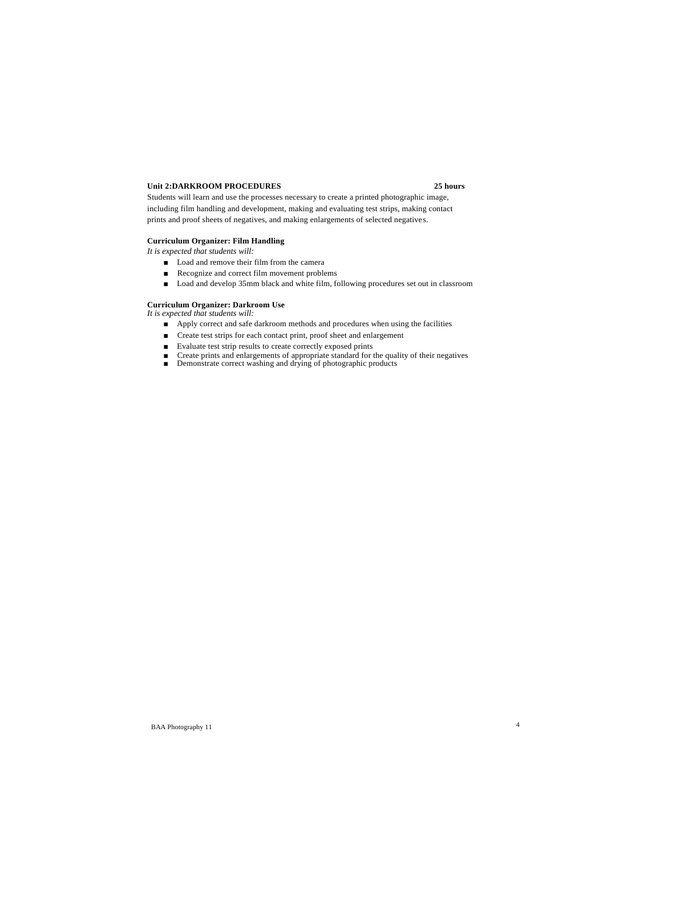# **Unit 2:DARKROOM PROCEDURES 25 hours**

Students will learn and use the processes necessary to create a printed photographic image, including film handling and development, making and evaluating test strips, making contact prints and proof sheets of negatives, and making enlargements of selected negatives.

# **Curriculum Organizer: Film Handling**

*It is expected that students will:*

- Load and remove their film from the camera
- Recognize and correct film movement problems
- Load and develop 35mm black and white film, following procedures set out in classroom

# **Curriculum Organizer: Darkroom Use**

- *It is expected that students will:*
	- Apply correct and safe darkroom methods and procedures when using the facilities
	- Create test strips for each contact print, proof sheet and enlargement
	- Evaluate test strip results to create correctly exposed prints
	- Create prints and enlargements of appropriate standard for the quality of their negatives
	- Demonstrate correct washing and drying of photographic products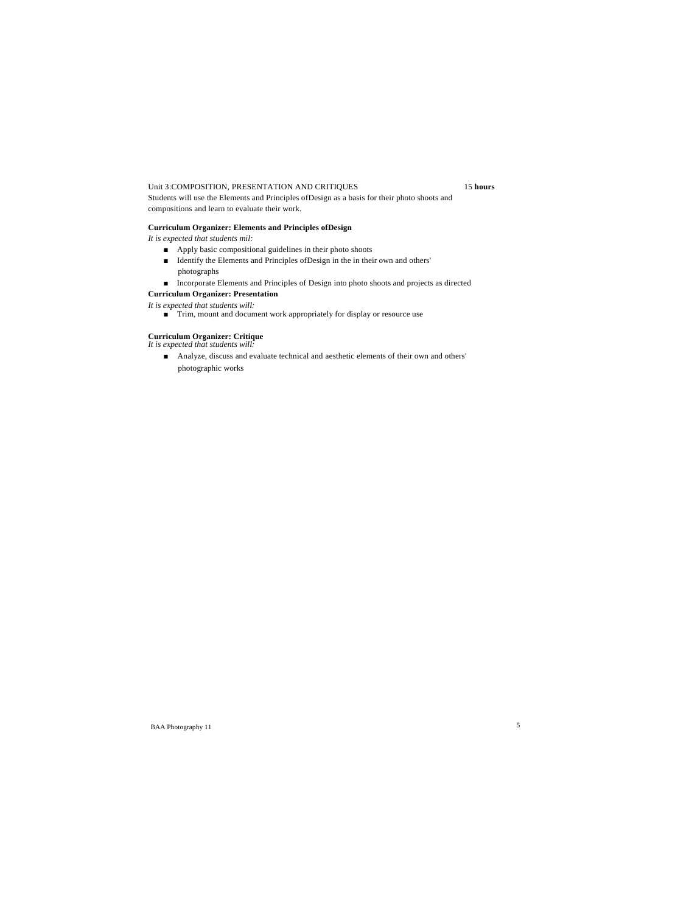# Unit 3:COMPOSITION, PRESENTATION AND CRITIQUES 15 **hours**

Students will use the Elements and Principles ofDesign as a basis for their photo shoots and compositions and learn to evaluate their work.

# **Curriculum Organizer: Elements and Principles ofDesign**

*It is expected that students mil:*

- Apply basic compositional guidelines in their photo shoots
- Identify the Elements and Principles ofDesign in the in their own and others'
- photographs ■ Incorporate Elements and Principles of Design into photo shoots and projects as directed

# **Curriculum Organizer: Presentation**

*It is expected that students will:*

■ Trim, mount and document work appropriately for display or resource use

# **Curriculum Organizer: Critique**

*It is expected that students will:*

■ Analyze, discuss and evaluate technical and aesthetic elements of their own and others' photographic works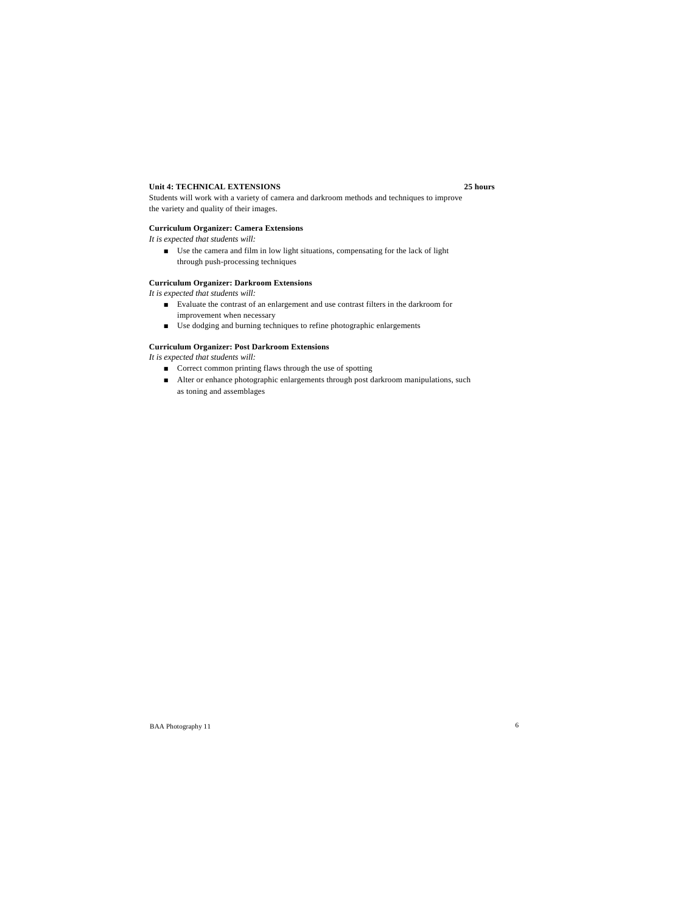# **Unit 4: TECHNICAL EXTENSIONS 25 hours**

Students will work with a variety of camera and darkroom methods and techniques to improve the variety and quality of their images.

# **Curriculum Organizer: Camera Extensions**

*It is expected that students will:*

■ Use the camera and film in low light situations, compensating for the lack of light through push-processing techniques

#### **Curriculum Organizer: Darkroom Extensions**

*It is expected that students will:*

- Evaluate the contrast of an enlargement and use contrast filters in the darkroom for improvement when necessary
- Use dodging and burning techniques to refine photographic enlargements

# **Curriculum Organizer: Post Darkroom Extensions**

*It is expected that students will:*

- Correct common printing flaws through the use of spotting
- Alter or enhance photographic enlargements through post darkroom manipulations, such as toning and assemblages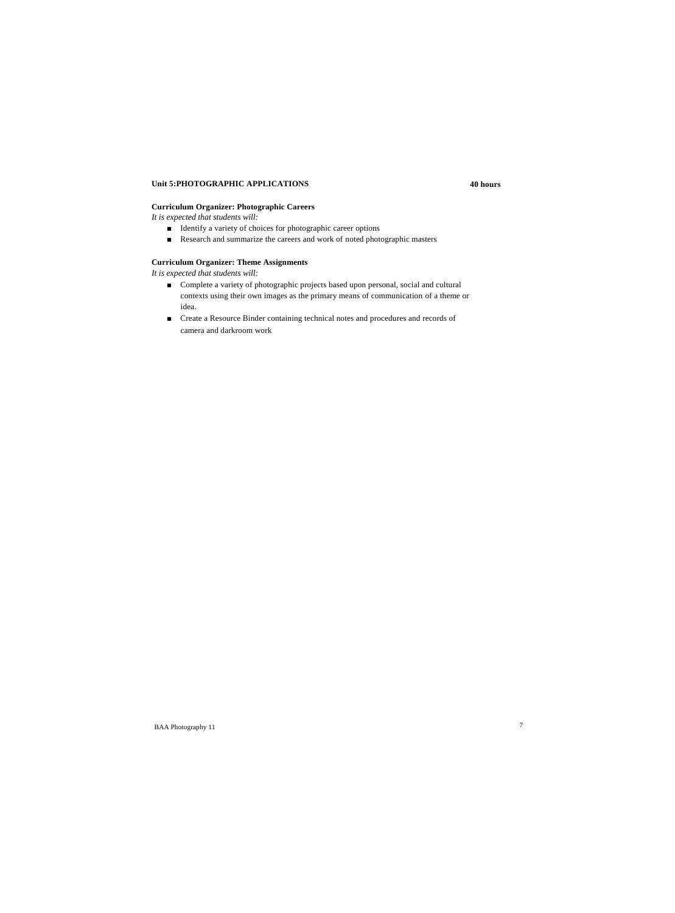# **Unit 5:PHOTOGRAPHIC APPLICATIONS 40 hours**

# **Curriculum Organizer: Photographic Careers**

*It is expected that students will:*

- Identify a variety of choices for photographic career options
- Research and summarize the careers and work of noted photographic masters

# **Curriculum Organizer: Theme Assignments**

*It is expected that students will:*

- Complete a variety of photographic projects based upon personal, social and cultural contexts using their own images as the primary means of communication of a theme or idea.
- Create a Resource Binder containing technical notes and procedures and records of camera and darkroom work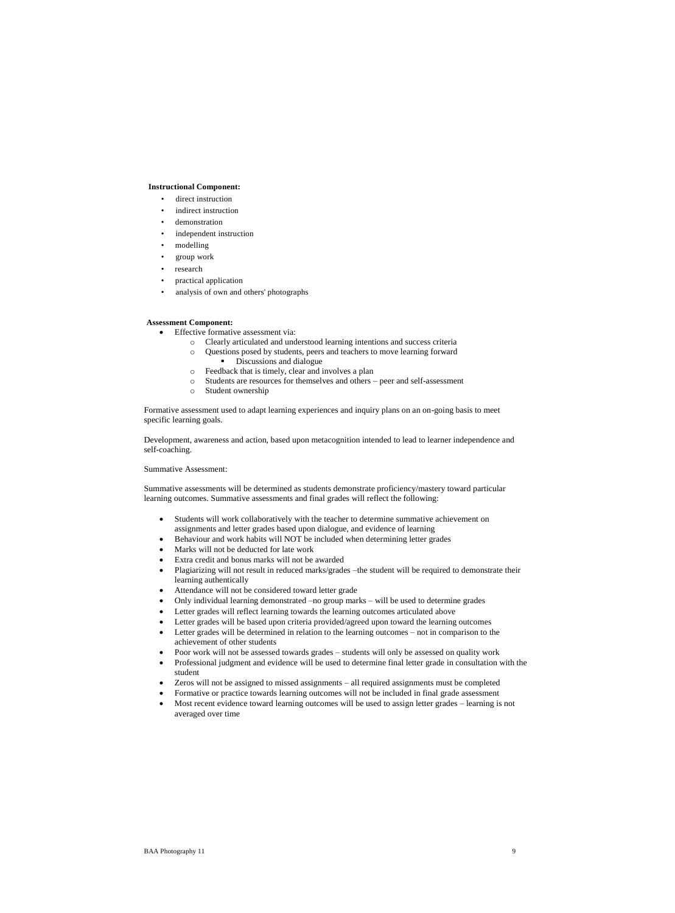#### **Instructional Component:**

- direct instruction
- indirect instruction
- demonstration
- independent instruction
- modelling
- group work
- research
- practical application
- analysis of own and others' photographs

#### **Assessment Component:**

- Effective formative assessment via:
	- o Clearly articulated and understood learning intentions and success criteria
	- o Questions posed by students, peers and teachers to move learning forward
		- Discussions and dialogue
	- o Feedback that is timely, clear and involves a plan
	- o Students are resources for themselves and others peer and self-assessment
	- o Student ownership

Formative assessment used to adapt learning experiences and inquiry plans on an on-going basis to meet specific learning goals.

Development, awareness and action, based upon metacognition intended to lead to learner independence and self-coaching.

# Summative Assessment:

Summative assessments will be determined as students demonstrate proficiency/mastery toward particular learning outcomes. Summative assessments and final grades will reflect the following:

- Students will work collaboratively with the teacher to determine summative achievement on assignments and letter grades based upon dialogue, and evidence of learning
- Behaviour and work habits will NOT be included when determining letter grades
- Marks will not be deducted for late work
- Extra credit and bonus marks will not be awarded
- Plagiarizing will not result in reduced marks/grades –the student will be required to demonstrate their learning authentically
- Attendance will not be considered toward letter grade
- Only individual learning demonstrated –no group marks will be used to determine grades
- Letter grades will reflect learning towards the learning outcomes articulated above
- Letter grades will be based upon criteria provided/agreed upon toward the learning outcomes
- Letter grades will be determined in relation to the learning outcomes not in comparison to the achievement of other students
- Poor work will not be assessed towards grades students will only be assessed on quality work
- Professional judgment and evidence will be used to determine final letter grade in consultation with the student
- Zeros will not be assigned to missed assignments all required assignments must be completed
- Formative or practice towards learning outcomes will not be included in final grade assessment
- Most recent evidence toward learning outcomes will be used to assign letter grades learning is not averaged over time